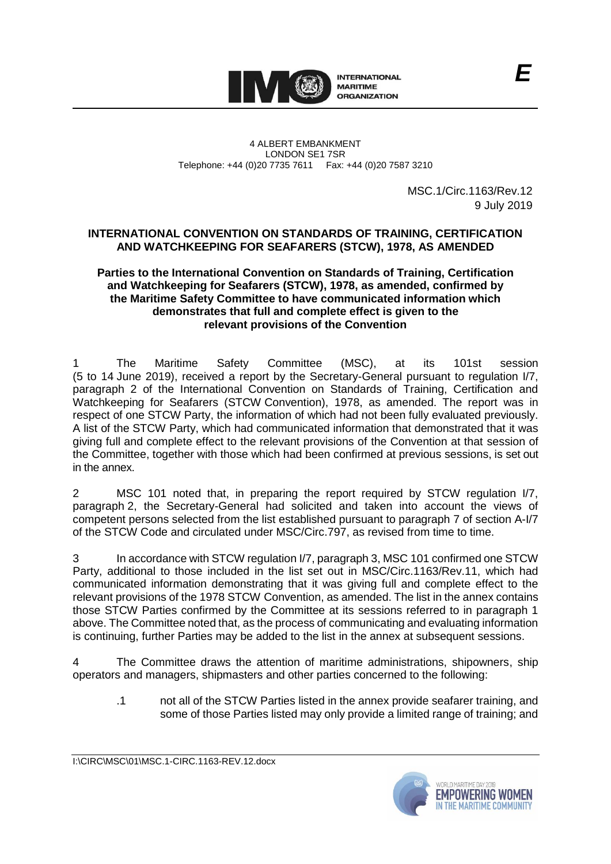

4 ALBERT EMBANKMENT LONDON SE1 7SR Telephone: +44 (0)20 7735 7611 Fax: +44 (0)20 7587 3210

> MSC.1/Circ.1163/Rev.12 9 July 2019

## **INTERNATIONAL CONVENTION ON STANDARDS OF TRAINING, CERTIFICATION AND WATCHKEEPING FOR SEAFARERS (STCW), 1978, AS AMENDED**

## **Parties to the International Convention on Standards of Training, Certification and Watchkeeping for Seafarers (STCW), 1978, as amended, confirmed by the Maritime Safety Committee to have communicated information which demonstrates that full and complete effect is given to the relevant provisions of the Convention**

The Maritime Safety Committee (MSC), at its 101st session (5 to 14 June 2019), received a report by the Secretary-General pursuant to regulation I/7, paragraph 2 of the International Convention on Standards of Training, Certification and Watchkeeping for Seafarers (STCW Convention), 1978, as amended. The report was in respect of one STCW Party, the information of which had not been fully evaluated previously. A list of the STCW Party, which had communicated information that demonstrated that it was giving full and complete effect to the relevant provisions of the Convention at that session of the Committee, together with those which had been confirmed at previous sessions, is set out in the annex.

2 MSC 101 noted that, in preparing the report required by STCW regulation I/7, paragraph 2, the Secretary-General had solicited and taken into account the views of competent persons selected from the list established pursuant to paragraph 7 of section A-I/7 of the STCW Code and circulated under MSC/Circ.797, as revised from time to time.

3 In accordance with STCW regulation I/7, paragraph 3, MSC 101 confirmed one STCW Party, additional to those included in the list set out in MSC/Circ.1163/Rev.11, which had communicated information demonstrating that it was giving full and complete effect to the relevant provisions of the 1978 STCW Convention, as amended. The list in the annex contains those STCW Parties confirmed by the Committee at its sessions referred to in paragraph 1 above. The Committee noted that, as the process of communicating and evaluating information is continuing, further Parties may be added to the list in the annex at subsequent sessions.

The Committee draws the attention of maritime administrations, shipowners, ship operators and managers, shipmasters and other parties concerned to the following:

.1 not all of the STCW Parties listed in the annex provide seafarer training, and some of those Parties listed may only provide a limited range of training; and

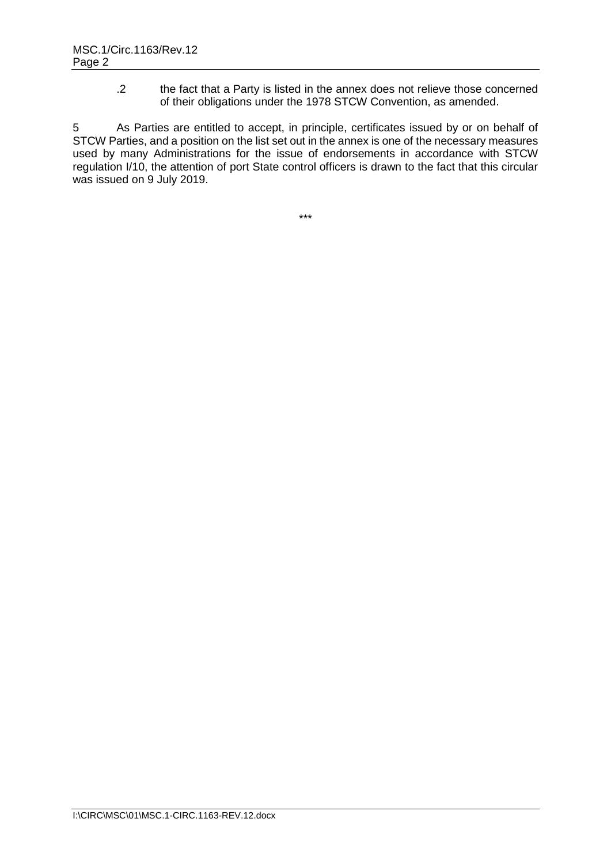.2 the fact that a Party is listed in the annex does not relieve those concerned of their obligations under the 1978 STCW Convention, as amended.

5 As Parties are entitled to accept, in principle, certificates issued by or on behalf of STCW Parties, and a position on the list set out in the annex is one of the necessary measures used by many Administrations for the issue of endorsements in accordance with STCW regulation I/10, the attention of port State control officers is drawn to the fact that this circular was issued on 9 July 2019.

\*\*\*